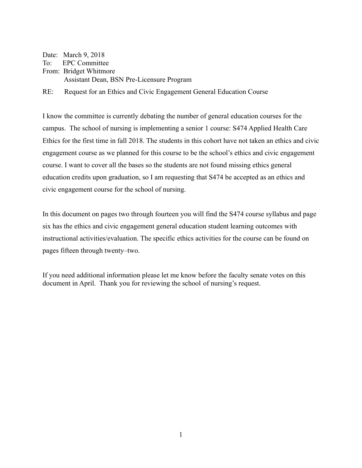Date: March 9, 2018

To: EPC Committee From: Bridget Whitmore Assistant Dean, BSN Pre-Licensure Program

RE: Request for an Ethics and Civic Engagement General Education Course

I know the committee is currently debating the number of general education courses for the campus. The school of nursing is implementing a senior 1 course: S474 Applied Health Care Ethics for the first time in fall 2018. The students in this cohort have not taken an ethics and civic engagement course as we planned for this course to be the school's ethics and civic engagement course. I want to cover all the bases so the students are not found missing ethics general education credits upon graduation, so I am requesting that S474 be accepted as an ethics and civic engagement course for the school of nursing.

In this document on pages two through fourteen you will find the S474 course syllabus and page six has the ethics and civic engagement general education student learning outcomes with instructional activities/evaluation. The specific ethics activities for the course can be found on pages fifteen through twenty–two.

If you need additional information please let me know before the faculty senate votes on this document in April. Thank you for reviewing the school of nursing's request.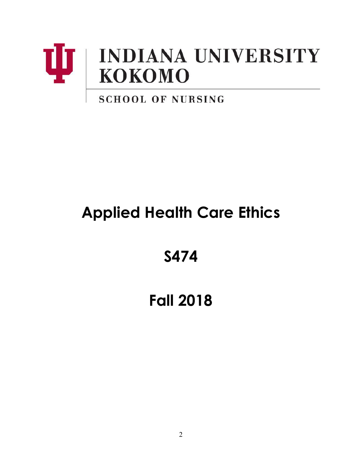

# **SCHOOL OF NURSING**

# **Applied Health Care Ethics**

**S474**

# **Fall 2018**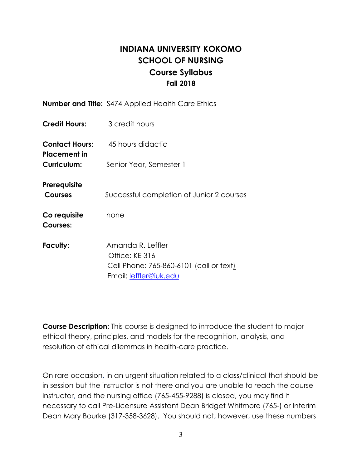# **INDIANA UNIVERSITY KOKOMO SCHOOL OF NURSING Course Syllabus Fall 2018**

|                                | <b>Number and Title:</b> S474 Applied Health Care Ethics                                                 |
|--------------------------------|----------------------------------------------------------------------------------------------------------|
| Credit Hours:                  | 3 credit hours                                                                                           |
| Contact Hours:<br>Placement in | 45 hours didactic                                                                                        |
| Curriculum:                    | Senior Year, Semester 1                                                                                  |
| Prerequisite<br><b>Courses</b> | Successful completion of Junior 2 courses                                                                |
| Co requisite<br>Courses:       | none                                                                                                     |
| Faculty:                       | Amanda R. Leffler<br>Office: KE 316<br>Cell Phone: 765-860-6101 (call or text)<br>Email: leffler@iuk.edu |

**Course Description:** This course is designed to introduce the student to major ethical theory, principles, and models for the recognition, analysis, and resolution of ethical dilemmas in health-care practice.

On rare occasion, in an urgent situation related to a class/clinical that should be in session but the instructor is not there and you are unable to reach the course instructor, and the nursing office (765-455-9288) is closed, you may find it necessary to call Pre-Licensure Assistant Dean Bridget Whitmore (765-) or Interim Dean Mary Bourke (317-358-3628). You should not; however, use these numbers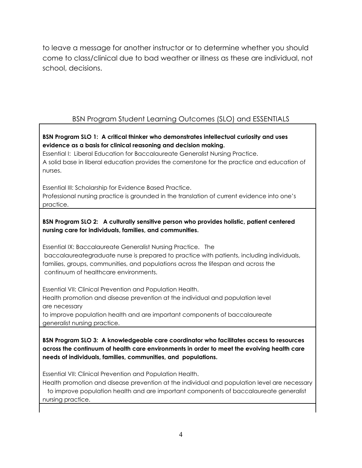to leave a message for another instructor or to determine whether you should come to class/clinical due to bad weather or illness as these are individual, not school, decisions.

## BSN Program Student Learning Outcomes (SLO) and ESSENTIALS

#### **BSN Program SLO 1: A critical thinker who demonstrates intellectual curiosity and uses evidence as a basis for clinical reasoning and decision making.**

Essential I: Liberal Education for Baccalaureate Generalist Nursing Practice. A solid base in liberal education provides the cornerstone for the practice and education of nurses.

Essential III: Scholarship for Evidence Based Practice.

Professional nursing practice is grounded in the translation of current evidence into one's practice.

#### **BSN Program SLO 2: A culturally sensitive person who provides holistic, patient centered nursing care for individuals, families, and communities.**

Essential IX: Baccalaureate Generalist Nursing Practice. The baccalaureategraduate nurse is prepared to practice with patients, including individuals, families, groups, communities, and populations across the lifespan and across the continuum of healthcare environments.

Essential VII: Clinical Prevention and Population Health. Health promotion and disease prevention at the individual and population level are necessary

to improve population health and are important components of baccalaureate generalist nursing practice.

**BSN Program SLO 3: A knowledgeable care coordinator who facilitates access to resources across the continuum of health care environments in order to meet the evolving health care needs of individuals, families, communities, and populations.**

Essential VII: Clinical Prevention and Population Health.

Health promotion and disease prevention at the individual and population level are necessary to improve population health and are important components of baccalaureate generalist nursing practice.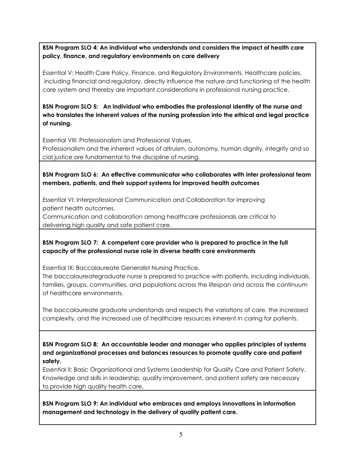**BSN Program SLO 4: An individual who understands and considers the impact of health care policy, finance, and regulatory environments on care delivery**

Essential V: Health Care Policy, Finance, and Regulatory Environments. Healthcare policies, including financial and regulatory, directly influence the nature and functioning of the health care system and thereby are important considerations in professional nursing practice.

**BSN Program SLO 5: An individual who embodies the professional identity of the nurse and who translates the inherent values of the nursing profession into the ethical and legal practice of nursing.**

Essential VIII: Professionalism and Professional Values.

Professionalism and the inherent values of altruism, autonomy, human dignity, integrity and so cial justice are fundamental to the discipline of nursing.

#### **BSN Program SLO 6: An effective communicator who collaborates with inter professional team members, patients, and their support systems for improved health outcomes**

Essential VI: Interprofessional Communication and Collaboration for improving patient health outcomes.

Communication and collaboration among healthcare professionals are critical to delivering high quality and safe patient care.

#### **BSN Program SLO 7: A competent care provider who is prepared to practice in the full capacity of the professional nurse role in diverse health care environments**

Essential IX: Baccalaureate Generalist Nursing Practice.

The baccalaureategraduate nurse is prepared to practice with patients, including individuals, families, groups, communities, and populations across the lifespan and across the continuum of healthcare environments.

The baccalaureate graduate understands and respects the variations of care, the increased complexity, and the increased use of healthcare resources inherent in caring for patients.

**BSN Program SLO 8: An accountable leader and manager who applies principles of systems and organizational processes and balances resources to promote quality care and patient safety.**

Essential II: Basic Organizational and Systems Leadership for Quality Care and Patient Safety. Knowledge and skills in leadership, quality improvement, and patient safety are necessary to provide high quality health care.

**BSN Program SLO 9: An individual who embraces and employs innovations in information management and technology in the delivery of quality patient care.**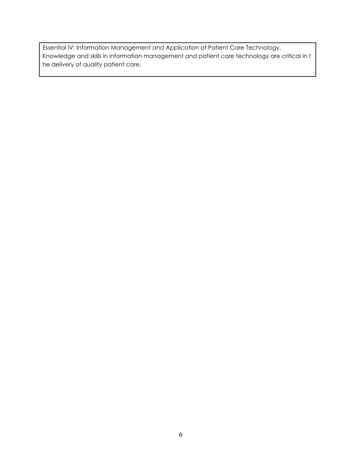Essential IV: Information Management and Application of Patient Care Technology. Knowledge and skills in information management and patient care technology are critical in t he delivery of quality patient care.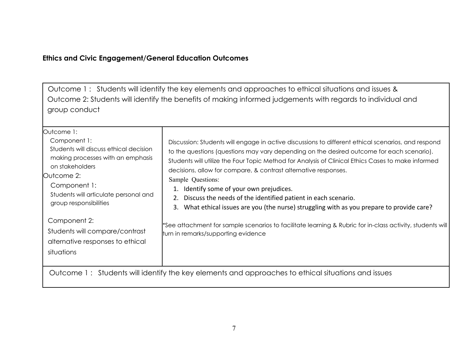## **Ethics and Civic Engagement/General Education Outcomes**

Outcome 1 : Students will identify the key elements and approaches to ethical situations and issues & Outcome 2: Students will identify the benefits of making informed judgements with regards to individual and group conduct

| Outcome 1:<br>Component 1:<br>Students will discuss ethical decision<br>making processes with an emphasis<br>on stakeholders<br>Outcome 2:<br>Component 1:<br>Students will articulate personal and<br>group responsibilities | Discussion: Students will engage in active discussions to different ethical scenarios, and respond<br>to the questions (questions may vary depending on the desired outcome for each scenario).<br>Students will utilize the Four Topic Method for Analysis of Clinical Ethics Cases to make informed<br>decisions, allow for compare, & contrast alternative responses.<br>Sample Questions:<br>Identify some of your own prejudices.<br>2. Discuss the needs of the identified patient in each scenario.<br>What ethical issues are you (the nurse) struggling with as you prepare to provide care?<br>3. |
|-------------------------------------------------------------------------------------------------------------------------------------------------------------------------------------------------------------------------------|-------------------------------------------------------------------------------------------------------------------------------------------------------------------------------------------------------------------------------------------------------------------------------------------------------------------------------------------------------------------------------------------------------------------------------------------------------------------------------------------------------------------------------------------------------------------------------------------------------------|
| Component 2:<br>Students will compare/contrast<br>alternative responses to ethical<br>situations                                                                                                                              | *See attachment for sample scenarios to facilitate learning & Rubric for in-class activity, students will<br>turn in remarks/supporting evidence                                                                                                                                                                                                                                                                                                                                                                                                                                                            |
|                                                                                                                                                                                                                               | Outcome 1: Students will identify the key elements and approaches to ethical situations and issues                                                                                                                                                                                                                                                                                                                                                                                                                                                                                                          |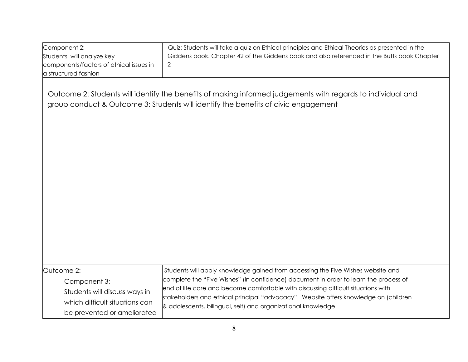| Component 2:<br>Students will analyze key<br>components/factors of ethical issues in<br>a structured fashion                 | Quiz: Students will take a quiz on Ethical principles and Ethical Theories as presented in the<br>Giddens book. Chapter 42 of the Giddens book and also referenced in the Butts book Chapter<br>2                                                                                                                                                                                                                     |
|------------------------------------------------------------------------------------------------------------------------------|-----------------------------------------------------------------------------------------------------------------------------------------------------------------------------------------------------------------------------------------------------------------------------------------------------------------------------------------------------------------------------------------------------------------------|
|                                                                                                                              | Outcome 2: Students will identify the benefits of making informed judgements with regards to individual and<br>group conduct & Outcome 3: Students will identify the benefits of civic engagement                                                                                                                                                                                                                     |
| Outcome 2:<br>Component 3:<br>Students will discuss ways in<br>which difficult situations can<br>be prevented or ameliorated | Students will apply knowledge gained from accessing the Five Wishes website and<br>complete the "Five Wishes" (in confidence) document in order to learn the process of<br>end of life care and become comfortable with discussing difficult situations with<br>stakeholders and ethical principal "advocacy". Website offers knowledge on (children<br>& adolescents, bilingual, self) and organizational knowledge. |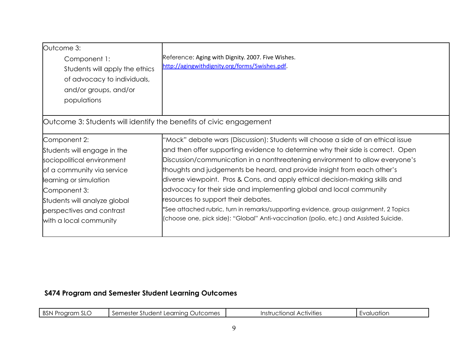| Outcome 3:                                                         |                                                                                        |
|--------------------------------------------------------------------|----------------------------------------------------------------------------------------|
| Component 1:                                                       | Reference: Aging with Dignity. 2007. Five Wishes.                                      |
| Students will apply the ethics                                     | http://agingwithdignity.org/forms/5wishes.pdf.                                         |
| of advocacy to individuals,                                        |                                                                                        |
| and/or groups, and/or                                              |                                                                                        |
| populations                                                        |                                                                                        |
|                                                                    |                                                                                        |
| Outcome 3: Students will identify the benefits of civic engagement |                                                                                        |
| Component 2:                                                       | "Mock" debate wars (Discussion): Students will choose a side of an ethical issue       |
| Students will engage in the                                        | and then offer supporting evidence to determine why their side is correct. Open        |
| sociopolitical environment                                         | Discussion/communication in a nonthreatening environment to allow everyone's           |
| of a community via service                                         | thoughts and judgements be heard, and provide insight from each other's                |
| learning or simulation                                             | diverse viewpoint. Pros & Cons, and apply ethical decision-making skills and           |
| Component 3:                                                       | advocacy for their side and implementing global and local community                    |
| Students will analyze global                                       | resources to support their debates.                                                    |
| perspectives and contrast                                          | *See attached rubric, turn in remarks/supporting evidence, group assignment, 2 Topics  |
| with a local community                                             | (choose one, pick side): "Global" Anti-vaccination (polio, etc.) and Assisted Suicide. |
|                                                                    |                                                                                        |

# **S474 Program and Semester Student Learning Outcomes**

| <b>BSN Program</b><br>E SLC | . Outcomes<br>Semester<br>r Student Learnina i<br>J∪l | $\cdots$<br>Activities<br>Instructional<br>ا اب ا | valuatior |
|-----------------------------|-------------------------------------------------------|---------------------------------------------------|-----------|
|                             |                                                       |                                                   |           |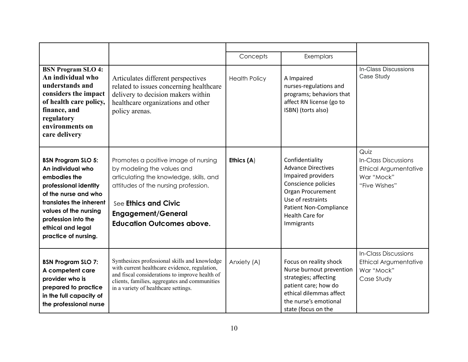|                                                                                                                                                                                                                                         |                                                                                                                                                                                                                                                | Concepts             | Exemplars                                                                                                                                                                                             |                                                                                             |
|-----------------------------------------------------------------------------------------------------------------------------------------------------------------------------------------------------------------------------------------|------------------------------------------------------------------------------------------------------------------------------------------------------------------------------------------------------------------------------------------------|----------------------|-------------------------------------------------------------------------------------------------------------------------------------------------------------------------------------------------------|---------------------------------------------------------------------------------------------|
| <b>BSN Program SLO 4:</b><br>An individual who<br>understands and<br>considers the impact<br>of health care policy,<br>finance, and<br>regulatory<br>environments on<br>care delivery                                                   | Articulates different perspectives<br>related to issues concerning healthcare<br>delivery to decision makers within<br>healthcare organizations and other<br>policy arenas.                                                                    | <b>Health Policy</b> | A Impaired<br>nurses-regulations and<br>programs; behaviors that<br>affect RN license (go to<br>ISBN) (torts also)                                                                                    | In-Class Discussions<br>Case Study                                                          |
| <b>BSN Program SLO 5:</b><br>An individual who<br>embodies the<br>professional identity<br>of the nurse and who<br>translates the inherent<br>values of the nursing<br>profession into the<br>ethical and legal<br>practice of nursing. | Promotes a positive image of nursing<br>by modeling the values and<br>articulating the knowledge, skills, and<br>attitudes of the nursing profession.<br>See Ethics and Civic<br><b>Engagement/General</b><br><b>Education Outcomes above.</b> | Ethics (A)           | Confidentiality<br><b>Advance Directives</b><br>Impaired providers<br>Conscience policies<br>Organ Procurement<br>Use of restraints<br><b>Patient Non-Compliance</b><br>Health Care for<br>Immigrants | Quiz<br><b>In-Class Discussions</b><br>Ethical Argumentative<br>War "Mock"<br>"Five Wishes" |
| <b>BSN Program SLO 7:</b><br>A competent care<br>provider who is<br>prepared to practice<br>in the full capacity of<br>the professional nurse                                                                                           | Synthesizes professional skills and knowledge<br>with current healthcare evidence, regulation,<br>and fiscal considerations to improve health of<br>clients, families, aggregates and communities<br>in a variety of healthcare settings.      | Anxiety (A)          | Focus on reality shock<br>Nurse burnout prevention<br>strategies; affecting<br>patient care; how do<br>ethical dilemmas affect<br>the nurse's emotional<br>state (focus on the                        | <b>In-Class Discussions</b><br>Ethical Argumentative<br>War "Mock"<br>Case Study            |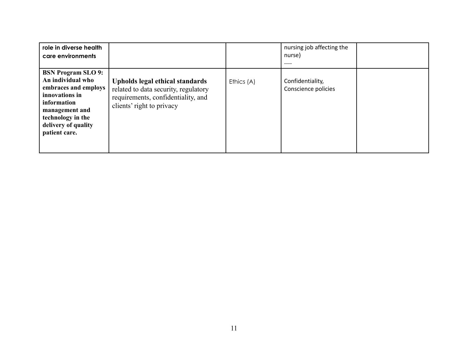| role in diverse health<br>care environments                                                                                                                                            |                                                                                                                                            |            | nursing job affecting the<br>nurse)<br>---- |  |
|----------------------------------------------------------------------------------------------------------------------------------------------------------------------------------------|--------------------------------------------------------------------------------------------------------------------------------------------|------------|---------------------------------------------|--|
| <b>BSN Program SLO 9:</b><br>An individual who<br>embraces and employs<br>innovations in<br>information<br>management and<br>technology in the<br>delivery of quality<br>patient care. | Upholds legal ethical standards<br>related to data security, regulatory<br>requirements, confidentiality, and<br>clients' right to privacy | Ethics (A) | Confidentiality,<br>Conscience policies     |  |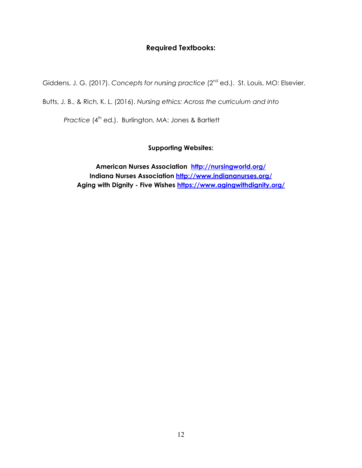### **Required Textbooks:**

Giddens, J. G. (2017). Concepts for nursing practice (2<sup>nd</sup> ed.). St. Louis, MO: Elsevier.

Butts, J. B., & Rich, K. L. (2016). *Nursing ethics: Across the curriculum and into*

*Practice* (4 th ed.). Burlington, MA: Jones & Bartlett

#### **Supporting Websites:**

**American Nurses Association <http://nursingworld.org/> Indiana Nurses Association <http://www.indiananurses.org/> Aging with Dignity - Five Wishes <https://www.agingwithdignity.org/>**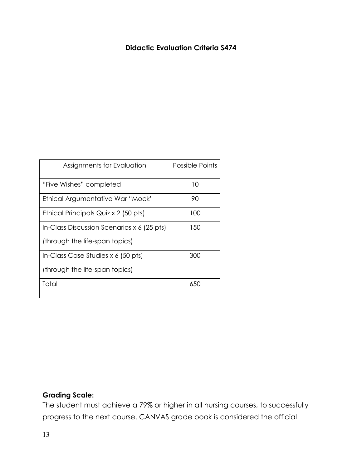## **Didactic Evaluation Criteria S474**

| Assignments for Evaluation                 | Possible Points |
|--------------------------------------------|-----------------|
| "Five Wishes" completed                    | 10              |
| Ethical Argumentative War "Mock"           | 90              |
| Ethical Principals Quiz x 2 (50 pts)       | 100             |
| In-Class Discussion Scenarios x 6 (25 pts) | 150             |
| (through the life-span topics)             |                 |
| In-Class Case Studies $x 6$ (50 pts)       | 300             |
| (through the life-span topics)             |                 |
| Total                                      | 650             |

# **Grading Scale:**

The student must achieve a 79% or higher in all nursing courses, to successfully progress to the next course. CANVAS grade book is considered the official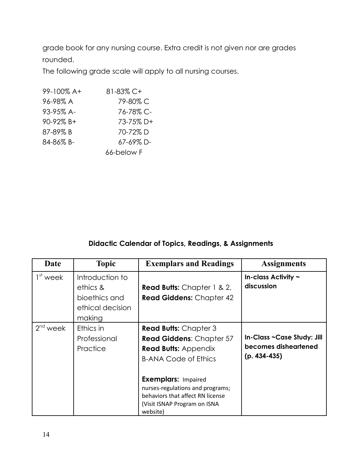grade book for any nursing course. Extra credit is not given nor are grades rounded.

The following grade scale will apply to all nursing courses.

| 99-100% A+ | 81-83% C+  |
|------------|------------|
| 96-98% A   | 79-80% C   |
| 93-95% A-  | 76-78% C-  |
| 90-92% B+  | 73-75% D+  |
| 87-89% B   | 70-72%D    |
| 84-86% B-  | 67-69% D-  |
|            | 66-below F |

## **Didactic Calendar of Topics, Readings, & Assignments**

| Date       | <b>Topic</b>                                                               | <b>Exemplars and Readings</b>                                                                                                                                                                                                                                            | <b>Assignments</b>                                                   |
|------------|----------------------------------------------------------------------------|--------------------------------------------------------------------------------------------------------------------------------------------------------------------------------------------------------------------------------------------------------------------------|----------------------------------------------------------------------|
| $1st$ week | Introduction to<br>ethics &<br>bioethics and<br>ethical decision<br>making | <b>Read Butts:</b> Chapter 1 & 2,<br><b>Read Giddens: Chapter 42</b>                                                                                                                                                                                                     | In-class Activity $\sim$<br>discussion                               |
| $2nd$ week | Ethics in<br>Professional<br>Practice                                      | <b>Read Butts: Chapter 3</b><br>Read Giddens: Chapter 57<br><b>Read Butts: Appendix</b><br><b>B-ANA Code of Ethics</b><br><b>Exemplars: Impaired</b><br>nurses-regulations and programs;<br>behaviors that affect RN license<br>(Visit ISNAP Program on ISNA<br>website) | In-Class ~Case Study: Jill<br>becomes disheartened<br>$(p. 434-435)$ |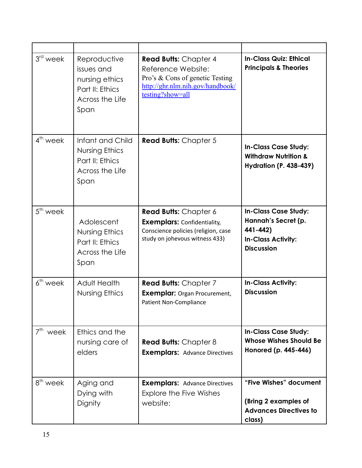| $3rd$ week              | Reproductive<br>issues and<br>nursing ethics<br>Part II: Ethics<br>Across the Life<br>Span | <b>Read Butts: Chapter 4</b><br>Reference Website:<br>Pro's & Cons of genetic Testing<br>http://ghr.nlm.nih.gov/handbook/<br>testing?show=all | <b>In-Class Quiz: Ethical</b><br><b>Principals &amp; Theories</b>                                         |
|-------------------------|--------------------------------------------------------------------------------------------|-----------------------------------------------------------------------------------------------------------------------------------------------|-----------------------------------------------------------------------------------------------------------|
| $4th$ week              | Infant and Child<br>Nursing Ethics<br>Part II: Ethics<br>Across the Life<br>Span           | <b>Read Butts: Chapter 5</b>                                                                                                                  | <b>In-Class Case Study:</b><br><b>Withdraw Nutrition &amp;</b><br><b>Hydration (P. 438-439)</b>           |
| $5th$ week              | Adolescent<br>Nursing Ethics<br>Part II: Ethics<br>Across the Life<br>Span                 | <b>Read Butts:</b> Chapter 6<br><b>Exemplars: Confidentiality,</b><br>Conscience policies (religion, case<br>study on johevous witness 433)   | <b>In-Class Case Study:</b><br>Hannah's Secret (p.<br>441-442)<br>In-Class Activity:<br><b>Discussion</b> |
| $6th$ week              | Adult Health<br>Nursing Ethics                                                             | <b>Read Butts: Chapter 7</b><br><b>Exemplar: Organ Procurement,</b><br><b>Patient Non-Compliance</b>                                          | <b>In-Class Activity:</b><br><b>Discussion</b>                                                            |
| 7 <sup>th</sup><br>week | Ethics and the<br>nursing care of<br>elders                                                | <b>Read Butts: Chapter 8</b><br><b>Exemplars: Advance Directives</b>                                                                          | <b>In-Class Case Study:</b><br><b>Whose Wishes Should Be</b><br>Honored (p. 445-446)                      |
| 8 <sup>th</sup> week    | Aging and<br>Dying with<br>Dignity                                                         | <b>Exemplars: Advance Directives</b><br><b>Explore the Five Wishes</b><br>website:                                                            | "Five Wishes" document<br>(Bring 2 examples of<br><b>Advances Directives to</b><br>class)                 |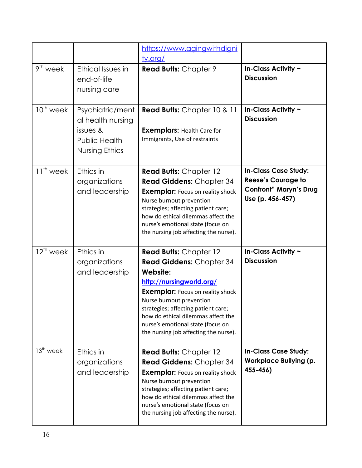|                      |                                                                                      | https://www.agingwithdigni<br><u>ty.org/</u>                                                                                                                                                                                                                                                                                               |                                                                                                               |
|----------------------|--------------------------------------------------------------------------------------|--------------------------------------------------------------------------------------------------------------------------------------------------------------------------------------------------------------------------------------------------------------------------------------------------------------------------------------------|---------------------------------------------------------------------------------------------------------------|
| 9 <sup>th</sup> week | Ethical Issues in<br>end-of-life<br>nursing care                                     | <b>Read Butts: Chapter 9</b>                                                                                                                                                                                                                                                                                                               | In-Class Activity ~<br><b>Discussion</b>                                                                      |
| $10th$ week          | Psychiatric/ment<br>al health nursing<br>issues &<br>Public Health<br>Nursing Ethics | <b>Read Butts:</b> Chapter 10 & 11<br><b>Exemplars: Health Care for</b><br>Immigrants, Use of restraints                                                                                                                                                                                                                                   | In-Class Activity ~<br><b>Discussion</b>                                                                      |
| $11th$ week          | Ethics in<br>organizations<br>and leadership                                         | <b>Read Butts: Chapter 12</b><br><b>Read Giddens: Chapter 34</b><br><b>Exemplar:</b> Focus on reality shock<br>Nurse burnout prevention<br>strategies; affecting patient care;<br>how do ethical dilemmas affect the<br>nurse's emotional state (focus on<br>the nursing job affecting the nurse).                                         | <b>In-Class Case Study:</b><br><b>Reese's Courage to</b><br><b>Confront" Maryn's Drug</b><br>Use (p. 456-457) |
| $12^{th}$ week       | Ethics in<br>organizations<br>and leadership                                         | <b>Read Butts: Chapter 12</b><br><b>Read Giddens: Chapter 34</b><br>Website:<br>http://nursingworld.org/<br><b>Exemplar:</b> Focus on reality shock<br>Nurse burnout prevention<br>strategies; affecting patient care;<br>how do ethical dilemmas affect the<br>nurse's emotional state (focus on<br>the nursing job affecting the nurse). | In-Class Activity ~<br><b>Discussion</b>                                                                      |
| $13th$ week          | Ethics in<br>organizations<br>and leadership                                         | <b>Read Butts: Chapter 12</b><br><b>Read Giddens: Chapter 34</b><br><b>Exemplar:</b> Focus on reality shock<br>Nurse burnout prevention<br>strategies; affecting patient care;<br>how do ethical dilemmas affect the<br>nurse's emotional state (focus on<br>the nursing job affecting the nurse).                                         | <b>In-Class Case Study:</b><br><b>Workplace Bullying (p.</b><br>455-456)                                      |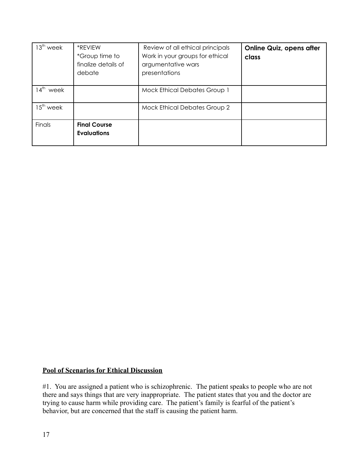| $13th$ week             | *REVIEW<br>*Group time to<br>finalize details of<br>debate | Review of all ethical principals<br>Work in your groups for ethical<br>argumentative wars<br>presentations | <b>Online Quiz, opens after</b><br>class |
|-------------------------|------------------------------------------------------------|------------------------------------------------------------------------------------------------------------|------------------------------------------|
| $4^{\text{th}}$<br>week |                                                            | <b>Mock Ethical Debates Group 1</b>                                                                        |                                          |
| $15^{\text{th}}$ week   |                                                            | <b>Mock Ethical Debates Group 2</b>                                                                        |                                          |
| Finals                  | <b>Final Course</b><br><b>Evaluations</b>                  |                                                                                                            |                                          |

#### **Pool of Scenarios for Ethical Discussion**

#1. You are assigned a patient who is schizophrenic. The patient speaks to people who are not there and says things that are very inappropriate. The patient states that you and the doctor are trying to cause harm while providing care. The patient's family is fearful of the patient's behavior, but are concerned that the staff is causing the patient harm.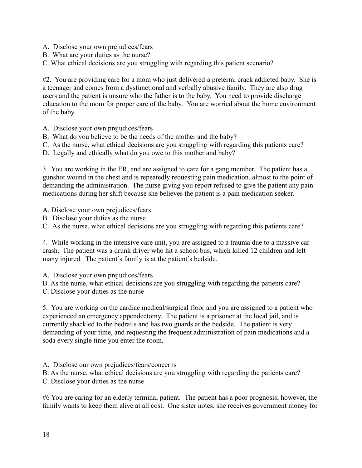- A. Disclose your own prejudices/fears
- B. What are your duties as the nurse?
- C. What ethical decisions are you struggling with regarding this patient scenario?

#2. You are providing care for a mom who just delivered a preterm, crack addicted baby. She is a teenager and comes from a dysfunctional and verbally abusive family. They are also drug users and the patient is unsure who the father is to the baby. You need to provide discharge education to the mom for proper care of the baby. You are worried about the home environment of the baby.

- A. Disclose your own prejudices/fears
- B. What do you believe to be the needs of the mother and the baby?
- C. As the nurse, what ethical decisions are you struggling with regarding this patients care?
- D. Legally and ethically what do you owe to this mother and baby?

3. You are working in the ER, and are assigned to care for a gang member. The patient has a gunshot wound in the chest and is repeatedly requesting pain medication, almost to the point of demanding the administration. The nurse giving you report refused to give the patient any pain medications during her shift because she believes the patient is a pain medication seeker.

- A. Disclose your own prejudices/fears
- B. Disclose your duties as the nurse
- C. As the nurse, what ethical decisions are you struggling with regarding this patients care?

4. While working in the intensive care unit, you are assigned to a trauma due to a massive car crash. The patient was a drunk driver who hit a school bus, which killed 12 children and left many injured. The patient's family is at the patient's bedside.

A. Disclose your own prejudices/fears

B. As the nurse, what ethical decisions are you struggling with regarding the patients care?

C. Disclose your duties as the nurse

5. You are working on the cardiac medical/surgical floor and you are assigned to a patient who experienced an emergency appendectomy. The patient is a prisoner at the local jail, and is currently shackled to the bedrails and has two guards at the bedside. The patient is very demanding of your time, and requesting the frequent administration of pain medications and a soda every single time you enter the room.

A. Disclose our own prejudices/fears/concerns

B. As the nurse, what ethical decisions are you struggling with regarding the patients care?

C. Disclose your duties as the nurse

#6 You are caring for an elderly terminal patient. The patient has a poor prognosis; however, the family wants to keep them alive at all cost. One sister notes, she receives government money for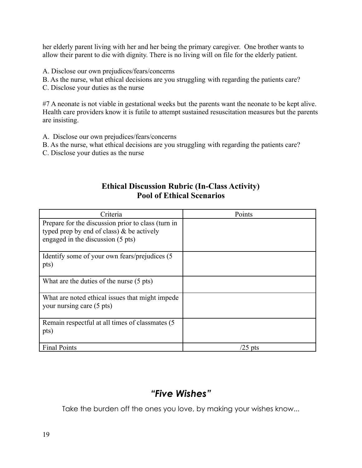her elderly parent living with her and her being the primary caregiver. One brother wants to allow their parent to die with dignity. There is no living will on file for the elderly patient.

- A. Disclose our own prejudices/fears/concerns
- B. As the nurse, what ethical decisions are you struggling with regarding the patients care?
- C. Disclose your duties as the nurse

#7 A neonate is not viable in gestational weeks but the parents want the neonate to be kept alive. Health care providers know it is futile to attempt sustained resuscitation measures but the parents are insisting.

- A. Disclose our own prejudices/fears/concerns
- B. As the nurse, what ethical decisions are you struggling with regarding the patients care?
- C. Disclose your duties as the nurse

## **Ethical Discussion Rubric (In-Class Activity) Pool of Ethical Scenarios**

| Criteria                                                                                                                                | Points   |
|-----------------------------------------------------------------------------------------------------------------------------------------|----------|
| Prepare for the discussion prior to class (turn in<br>typed prep by end of class) $\&$ be actively<br>engaged in the discussion (5 pts) |          |
| Identify some of your own fears/prejudices (5)<br>pts)                                                                                  |          |
| What are the duties of the nurse (5 pts)                                                                                                |          |
| What are noted ethical issues that might impede<br>your nursing care (5 pts)                                                            |          |
| Remain respectful at all times of classmates (5)<br>pts)                                                                                |          |
| <b>Final Points</b>                                                                                                                     | $25$ pts |

# *"Five Wishes"*

Take the burden off the ones you love, by making your wishes know...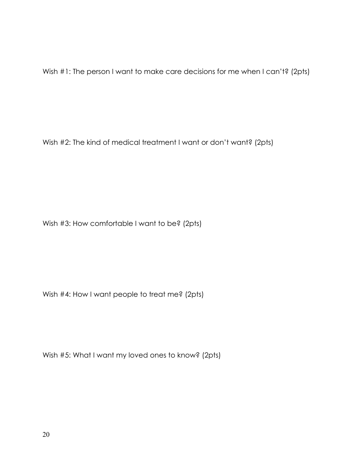Wish #1: The person I want to make care decisions for me when I can't? (2pts)

Wish #2: The kind of medical treatment I want or don't want? (2pts)

Wish #3: How comfortable I want to be? (2pts)

Wish #4: How I want people to treat me? (2pts)

Wish #5: What I want my loved ones to know? (2pts)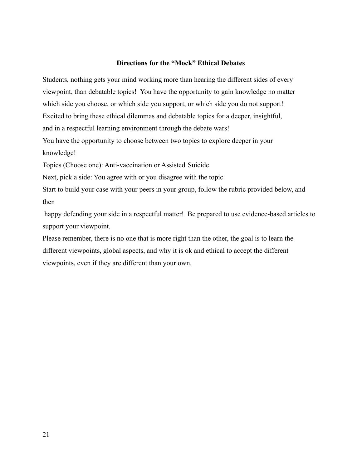#### **Directions for the "Mock" Ethical Debates**

Students, nothing gets your mind working more than hearing the different sides of every viewpoint, than debatable topics! You have the opportunity to gain knowledge no matter which side you choose, or which side you support, or which side you do not support! Excited to bring these ethical dilemmas and debatable topics for a deeper, insightful, and in a respectful learning environment through the debate wars! You have the opportunity to choose between two topics to explore deeper in your

knowledge!

Topics (Choose one): Anti-vaccination or Assisted Suicide

Next, pick a side: You agree with or you disagree with the topic

Start to build your case with your peers in your group, follow the rubric provided below, and then

happy defending your side in a respectful matter! Be prepared to use evidence-based articles to support your viewpoint.

Please remember, there is no one that is more right than the other, the goal is to learn the different viewpoints, global aspects, and why it is ok and ethical to accept the different viewpoints, even if they are different than your own.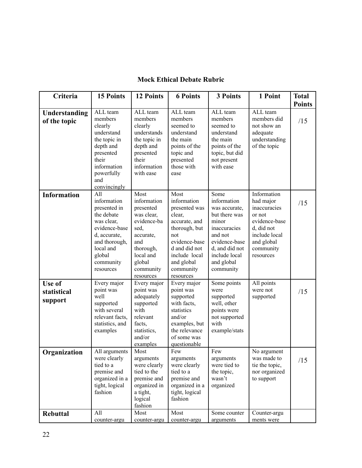| Criteria                             | <b>15 Points</b>                                                                                                                                                  | <b>12 Points</b>                                                                                                                                        | <b>6 Points</b>                                                                                                                                                                    | <b>3 Points</b>                                                                                                                                                          | 1 Point                                                                                                                                    | <b>Total</b>         |
|--------------------------------------|-------------------------------------------------------------------------------------------------------------------------------------------------------------------|---------------------------------------------------------------------------------------------------------------------------------------------------------|------------------------------------------------------------------------------------------------------------------------------------------------------------------------------------|--------------------------------------------------------------------------------------------------------------------------------------------------------------------------|--------------------------------------------------------------------------------------------------------------------------------------------|----------------------|
| Understanding<br>of the topic        | ALL team<br>members<br>clearly<br>understand<br>the topic in<br>depth and<br>presented<br>their<br>information<br>powerfully<br>and<br>convincingly               | ALL team<br>members<br>clearly<br>understands<br>the topic in<br>depth and<br>presented<br>their<br>information<br>with ease                            | ALL team<br>members<br>seemed to<br>understand<br>the main<br>points of the<br>topic and<br>presented<br>those with<br>ease                                                        | ALL team<br>members<br>seemed to<br>understand<br>the main<br>points of the<br>topic, but did<br>not present<br>with ease                                                | ALL team<br>members did<br>not show an<br>adequate<br>understanding<br>of the topic                                                        | <b>Points</b><br>/15 |
| <b>Information</b>                   | All<br>information<br>presented in<br>the debate<br>was clear,<br>evidence-base<br>d, accurate,<br>and thorough,<br>local and<br>global<br>community<br>resources | Most<br>information<br>presented<br>was clear,<br>evidence-ba<br>sed,<br>accurate,<br>and<br>thorough,<br>local and<br>global<br>community<br>resources | Most<br>information<br>presented was<br>clear,<br>accurate, and<br>thorough, but<br>not<br>evidence-base<br>d and did not<br>include local<br>and global<br>community<br>resources | Some<br>information<br>was accurate,<br>but there was<br>minor<br>inaccuracies<br>and not<br>evidence-base<br>d, and did not<br>include local<br>and global<br>community | Information<br>had major<br>inaccuracies<br>or not<br>evidence-base<br>d, did not<br>include local<br>and global<br>community<br>resources | /15                  |
| Use of<br>statistical<br>support     | Every major<br>point was<br>well<br>supported<br>with several<br>relevant facts,<br>statistics, and<br>examples<br>All arguments                                  | Every major<br>point was<br>adequately<br>supported<br>with<br>relevant<br>facts,<br>statistics,<br>and/or<br>examples<br>Most                          | Every major<br>point was<br>supported<br>with facts,<br>statistics<br>and/or<br>examples, but<br>the relevance<br>of some was<br>questionable<br>Few                               | Some points<br>were<br>supported<br>well, other<br>points were<br>not supported<br>with<br>example/stats<br>Few                                                          | All points<br>were not<br>supported<br>No argument                                                                                         | /15                  |
| Organization<br>0<br><b>Rebuttal</b> | were clearly<br>tied to a<br>premise and<br>organized in a<br>tight, logical<br>fashion<br>All                                                                    | arguments<br>were clearly<br>tied to the<br>premise and<br>organized in<br>a tight,<br>logical<br>fashion<br>Most                                       | arguments<br>were clearly<br>tied to a<br>premise and<br>organized in a<br>tight, logical<br>fashion<br>Most                                                                       | arguments<br>were tied to<br>the topic,<br>wasn't<br>organized<br>Some counter                                                                                           | was made to<br>tie the topic,<br>nor organized<br>to support<br>Counter-argu                                                               | /15                  |
|                                      | counter-argu                                                                                                                                                      | counter-argu                                                                                                                                            | counter-argu                                                                                                                                                                       | arguments                                                                                                                                                                | ments were                                                                                                                                 |                      |

# **Mock Ethical Debate Rubric**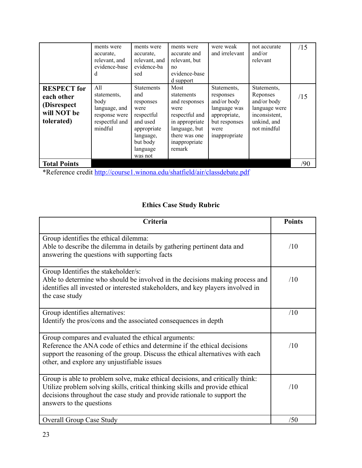|                                                                               | ments were<br>accurate.<br>relevant, and<br>evidence-base<br>d                            | ments were<br>accurate.<br>relevant, and<br>evidence-ba<br>sed                                                                         | ments were<br>accurate and<br>relevant, but<br>no<br>evidence-base<br>d support                                                              | were weak<br>and irrelevant                                                                                       | not accurate<br>and/or<br>relevant                                                                     | /15 |
|-------------------------------------------------------------------------------|-------------------------------------------------------------------------------------------|----------------------------------------------------------------------------------------------------------------------------------------|----------------------------------------------------------------------------------------------------------------------------------------------|-------------------------------------------------------------------------------------------------------------------|--------------------------------------------------------------------------------------------------------|-----|
| <b>RESPECT</b> for<br>each other<br>(Disrespect)<br>will NOT be<br>tolerated) | A11<br>statements,<br>body<br>language, and<br>response were<br>respectful and<br>mindful | <b>Statements</b><br>and<br>responses<br>were<br>respectful<br>and used<br>appropriate<br>language,<br>but body<br>language<br>was not | Most<br>statements<br>and responses<br>were<br>respectful and<br>in appropriate<br>language, but<br>there was one<br>inappropriate<br>remark | Statements,<br>responses<br>and/or body<br>language was<br>appropriate,<br>but responses<br>were<br>inappropriate | Statements,<br>Reponses<br>and/or body<br>language were<br>inconsistent,<br>unkind, and<br>not mindful | /15 |
| <b>Total Points</b>                                                           |                                                                                           |                                                                                                                                        |                                                                                                                                              |                                                                                                                   |                                                                                                        | /90 |

\*Reference credit <http://course1.winona.edu/shatfield/air/classdebate.pdf>

# **Ethics Case Study Rubric**

| Criteria                                                                                                                                                                                                                                                              | <b>Points</b> |
|-----------------------------------------------------------------------------------------------------------------------------------------------------------------------------------------------------------------------------------------------------------------------|---------------|
| Group identifies the ethical dilemma:<br>Able to describe the dilemma in details by gathering pertinent data and<br>answering the questions with supporting facts                                                                                                     | /10           |
| Group Identifies the stakeholder/s:<br>Able to determine who should be involved in the decisions making process and<br>identifies all invested or interested stakeholders, and key players involved in<br>the case study                                              | /10           |
| Group identifies alternatives:<br>Identify the pros/cons and the associated consequences in depth                                                                                                                                                                     | /10           |
| Group compares and evaluated the ethical arguments:<br>Reference the ANA code of ethics and determine if the ethical decisions<br>support the reasoning of the group. Discuss the ethical alternatives with each<br>other, and explore any unjustifiable issues       | /10           |
| Group is able to problem solve, make ethical decisions, and critically think:<br>Utilize problem solving skills, critical thinking skills and provide ethical<br>decisions throughout the case study and provide rationale to support the<br>answers to the questions | /10           |
| <b>Overall Group Case Study</b>                                                                                                                                                                                                                                       | /50           |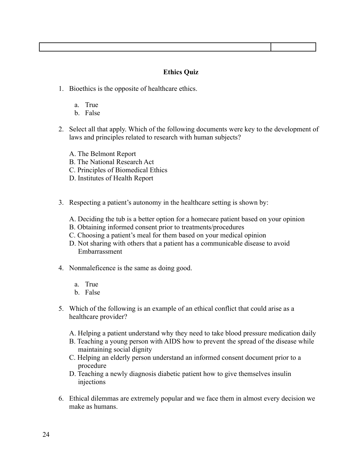- 1. Bioethics is the opposite of healthcare ethics.
	- a. True
	- b. False
- 2. Select all that apply. Which of the following documents were key to the development of laws and principles related to research with human subjects?
	- A. The Belmont Report
	- B. The National Research Act
	- C. Principles of Biomedical Ethics
	- D. Institutes of Health Report
- 3. Respecting a patient's autonomy in the healthcare setting is shown by:
	- A. Deciding the tub is a better option for a homecare patient based on your opinion
	- B. Obtaining informed consent prior to treatments/procedures
	- C. Choosing a patient's meal for them based on your medical opinion
	- D. Not sharing with others that a patient has a communicable disease to avoid Embarrassment
- 4. Nonmaleficence is the same as doing good.
	- a. True
	- b. False
- 5. Which of the following is an example of an ethical conflict that could arise as a healthcare provider?
	- A. Helping a patient understand why they need to take blood pressure medication daily
	- B. Teaching a young person with AIDS how to prevent the spread of the disease while maintaining social dignity
	- C. Helping an elderly person understand an informed consent document prior to a procedure
	- D. Teaching a newly diagnosis diabetic patient how to give themselves insulin injections
- 6. Ethical dilemmas are extremely popular and we face them in almost every decision we make as humans.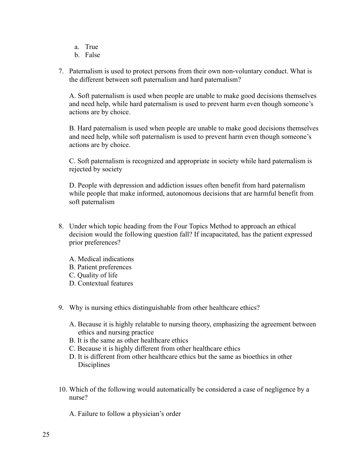- a. True
- b. False
- 7. Paternalism is used to protect persons from their own non-voluntary conduct. What is the different between soft paternalism and hard paternalism?

A. Soft paternalism is used when people are unable to make good decisions themselves and need help, while hard paternalism is used to prevent harm even though someone's actions are by choice.

B. Hard paternalism is used when people are unable to make good decisions themselves and need help, while soft paternalism is used to prevent harm even though someone's actions are by choice.

C. Soft paternalism is recognized and appropriate in society while hard paternalism is rejected by society

D. People with depression and addiction issues often benefit from hard paternalism while people that make informed, autonomous decisions that are harmful benefit from soft paternalism

- 8. Under which topic heading from the Four Topics Method to approach an ethical decision would the following question fall? If incapacitated, has the patient expressed prior preferences?
	- A. Medical indications
	- B. Patient preferences
	- C. Quality of life
	- D. Contextual features
- 9. Why is nursing ethics distinguishable from other healthcare ethics?
	- A. Because it is highly relatable to nursing theory, emphasizing the agreement between ethics and nursing practice
	- B. It is the same as other healthcare ethics
	- C. Because it is highly different from other healthcare ethics
	- D. It is different from other healthcare ethics but the same as bioethics in other **Disciplines**
- 10. Which of the following would automatically be considered a case of negligence by a nurse?
	- A. Failure to follow a physician's order